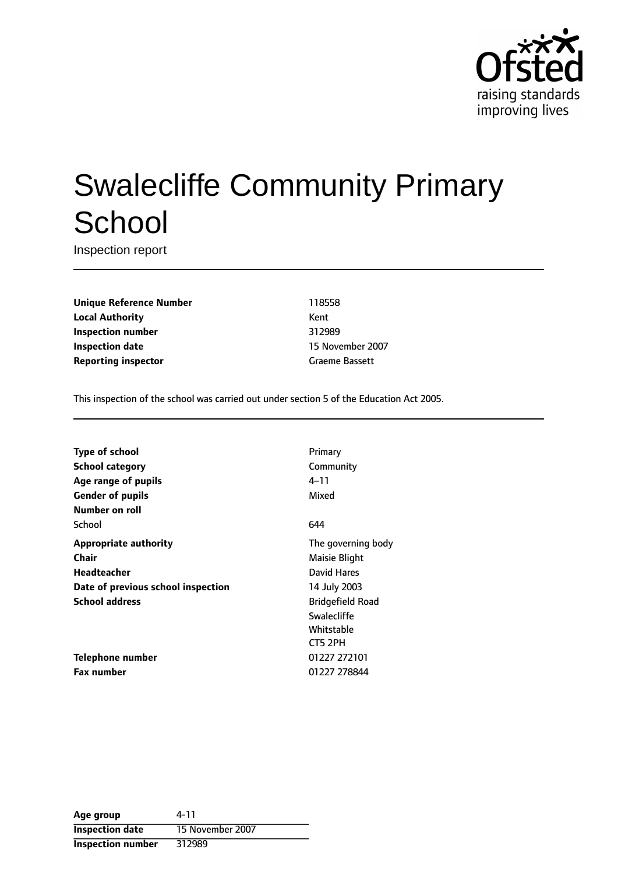

# Swalecliffe Community Primary **School**

Inspection report

**Unique Reference Number** 118558 **Local Authority** Kent **Inspection number** 312989 **Inspection date** 15 November 2007 **Reporting inspector** Graeme Bassett

This inspection of the school was carried out under section 5 of the Education Act 2005.

| <b>Type of school</b>              | Primary                 |
|------------------------------------|-------------------------|
| <b>School category</b>             | Community               |
| Age range of pupils                | 4–11                    |
| <b>Gender of pupils</b>            | Mixed                   |
| Number on roll                     |                         |
| School                             | 644                     |
| <b>Appropriate authority</b>       | The governing body      |
| Chair                              | Maisie Blight           |
| Headteacher                        | David Hares             |
| Date of previous school inspection | 14 July 2003            |
| <b>School address</b>              | <b>Bridgefield Road</b> |
|                                    | Swalecliffe             |
|                                    | Whitstable              |
|                                    | CT5 2PH                 |
| Telephone number                   | 01227 272101            |
| <b>Fax number</b>                  | 01227 278844            |

| Age group                | 4-11             |
|--------------------------|------------------|
| <b>Inspection date</b>   | 15 November 2007 |
| <b>Inspection number</b> | 312989           |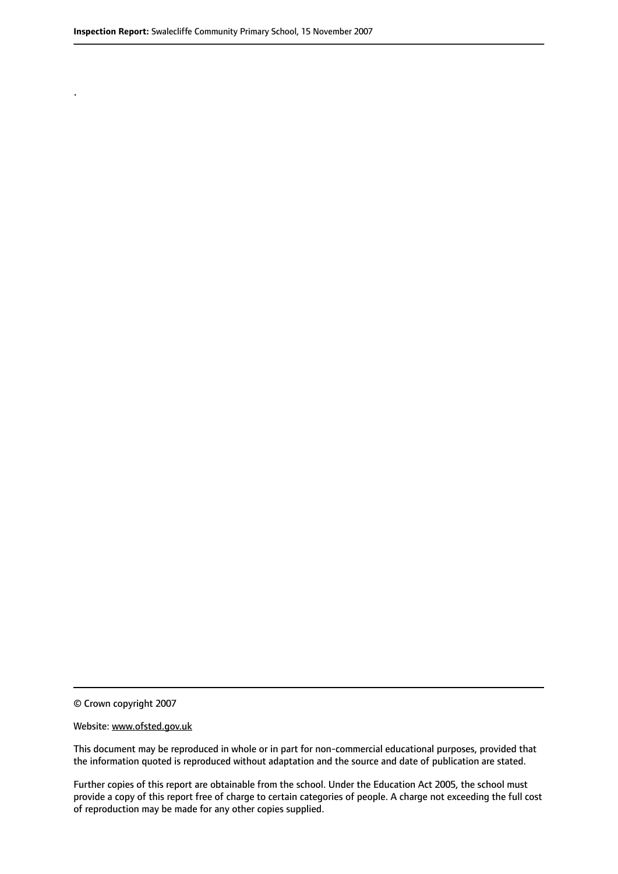.

© Crown copyright 2007

#### Website: www.ofsted.gov.uk

This document may be reproduced in whole or in part for non-commercial educational purposes, provided that the information quoted is reproduced without adaptation and the source and date of publication are stated.

Further copies of this report are obtainable from the school. Under the Education Act 2005, the school must provide a copy of this report free of charge to certain categories of people. A charge not exceeding the full cost of reproduction may be made for any other copies supplied.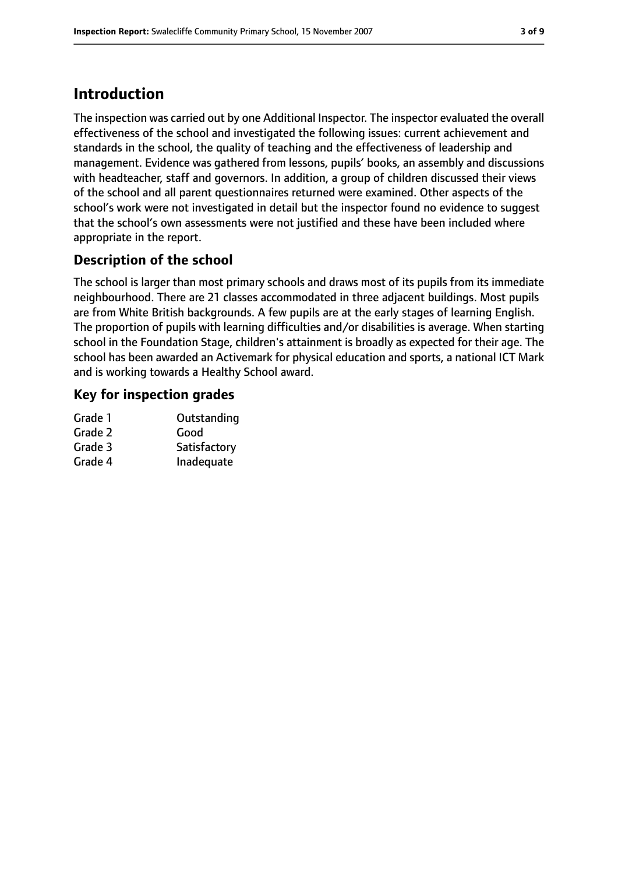# **Introduction**

The inspection was carried out by one Additional Inspector. The inspector evaluated the overall effectiveness of the school and investigated the following issues: current achievement and standards in the school, the quality of teaching and the effectiveness of leadership and management. Evidence was gathered from lessons, pupils' books, an assembly and discussions with headteacher, staff and governors. In addition, a group of children discussed their views of the school and all parent questionnaires returned were examined. Other aspects of the school's work were not investigated in detail but the inspector found no evidence to suggest that the school's own assessments were not justified and these have been included where appropriate in the report.

# **Description of the school**

The school is larger than most primary schools and draws most of its pupils from its immediate neighbourhood. There are 21 classes accommodated in three adjacent buildings. Most pupils are from White British backgrounds. A few pupils are at the early stages of learning English. The proportion of pupils with learning difficulties and/or disabilities is average. When starting school in the Foundation Stage, children's attainment is broadly as expected for their age. The school has been awarded an Activemark for physical education and sports, a national ICT Mark and is working towards a Healthy School award.

# **Key for inspection grades**

| Grade 1 | Outstanding  |
|---------|--------------|
| Grade 2 | Good         |
| Grade 3 | Satisfactory |
| Grade 4 | Inadequate   |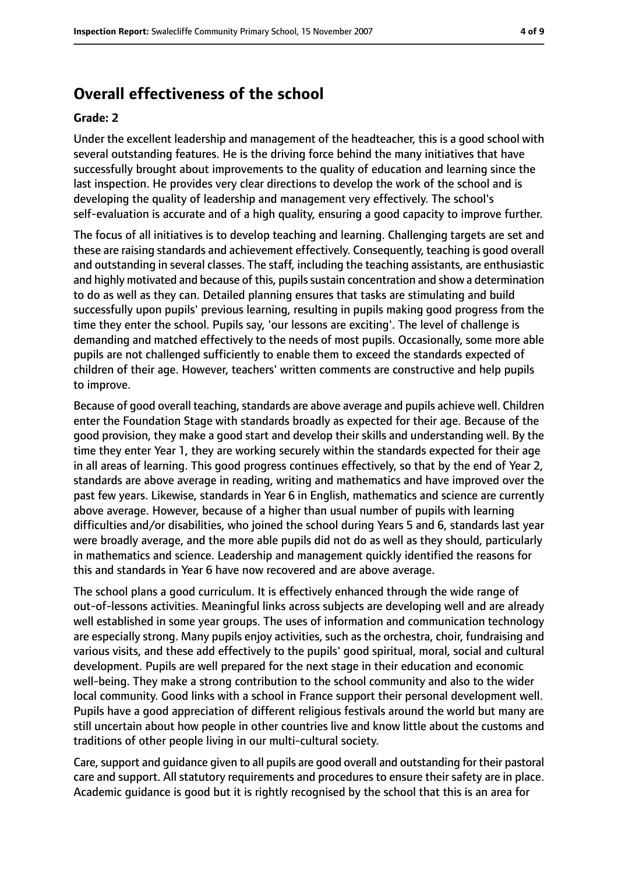# **Overall effectiveness of the school**

#### **Grade: 2**

Under the excellent leadership and management of the headteacher, this is a good school with several outstanding features. He is the driving force behind the many initiatives that have successfully brought about improvements to the quality of education and learning since the last inspection. He provides very clear directions to develop the work of the school and is developing the quality of leadership and management very effectively. The school's self-evaluation is accurate and of a high quality, ensuring a good capacity to improve further.

The focus of all initiatives is to develop teaching and learning. Challenging targets are set and these are raising standards and achievement effectively. Consequently, teaching is good overall and outstanding in several classes. The staff, including the teaching assistants, are enthusiastic and highly motivated and because of this, pupils sustain concentration and show a determination to do as well as they can. Detailed planning ensures that tasks are stimulating and build successfully upon pupils' previous learning, resulting in pupils making good progress from the time they enter the school. Pupils say, 'our lessons are exciting'. The level of challenge is demanding and matched effectively to the needs of most pupils. Occasionally, some more able pupils are not challenged sufficiently to enable them to exceed the standards expected of children of their age. However, teachers' written comments are constructive and help pupils to improve.

Because of good overall teaching, standards are above average and pupils achieve well. Children enter the Foundation Stage with standards broadly as expected for their age. Because of the good provision, they make a good start and develop their skills and understanding well. By the time they enter Year 1, they are working securely within the standards expected for their age in all areas of learning. This good progress continues effectively, so that by the end of Year 2, standards are above average in reading, writing and mathematics and have improved over the past few years. Likewise, standards in Year 6 in English, mathematics and science are currently above average. However, because of a higher than usual number of pupils with learning difficulties and/or disabilities, who joined the school during Years 5 and 6, standards last year were broadly average, and the more able pupils did not do as well as they should, particularly in mathematics and science. Leadership and management quickly identified the reasons for this and standards in Year 6 have now recovered and are above average.

The school plans a good curriculum. It is effectively enhanced through the wide range of out-of-lessons activities. Meaningful links across subjects are developing well and are already well established in some year groups. The uses of information and communication technology are especially strong. Many pupils enjoy activities, such as the orchestra, choir, fundraising and various visits, and these add effectively to the pupils' good spiritual, moral, social and cultural development. Pupils are well prepared for the next stage in their education and economic well-being. They make a strong contribution to the school community and also to the wider local community. Good links with a school in France support their personal development well. Pupils have a good appreciation of different religious festivals around the world but many are still uncertain about how people in other countries live and know little about the customs and traditions of other people living in our multi-cultural society.

Care, support and guidance given to all pupils are good overall and outstanding for their pastoral care and support. All statutory requirements and procedures to ensure their safety are in place. Academic guidance is good but it is rightly recognised by the school that this is an area for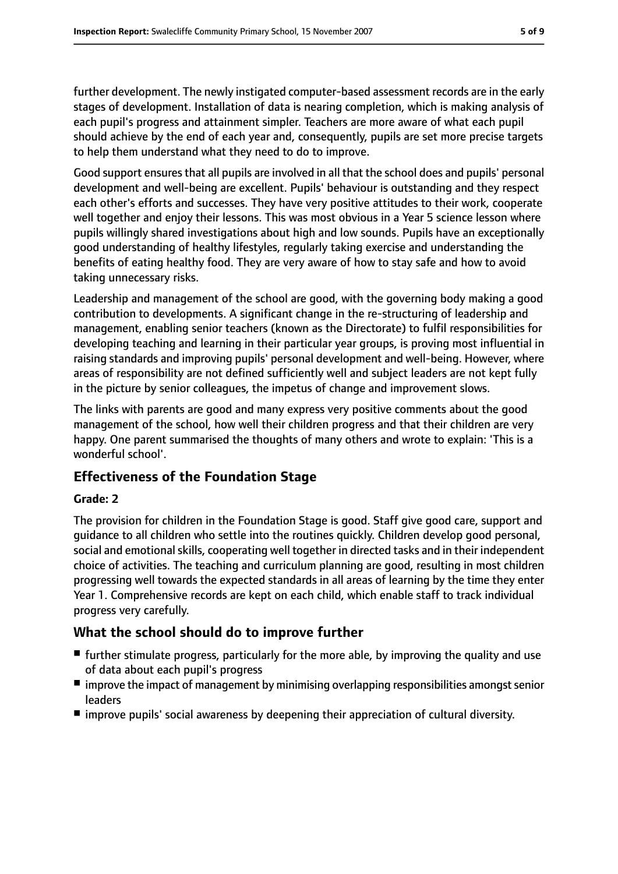further development. The newly instigated computer-based assessment records are in the early stages of development. Installation of data is nearing completion, which is making analysis of each pupil's progress and attainment simpler. Teachers are more aware of what each pupil should achieve by the end of each year and, consequently, pupils are set more precise targets to help them understand what they need to do to improve.

Good support ensures that all pupils are involved in all that the school does and pupils' personal development and well-being are excellent. Pupils' behaviour is outstanding and they respect each other's efforts and successes. They have very positive attitudes to their work, cooperate well together and enjoy their lessons. This was most obvious in a Year 5 science lesson where pupils willingly shared investigations about high and low sounds. Pupils have an exceptionally good understanding of healthy lifestyles, regularly taking exercise and understanding the benefits of eating healthy food. They are very aware of how to stay safe and how to avoid taking unnecessary risks.

Leadership and management of the school are good, with the governing body making a good contribution to developments. A significant change in the re-structuring of leadership and management, enabling senior teachers (known as the Directorate) to fulfil responsibilities for developing teaching and learning in their particular year groups, is proving most influential in raising standards and improving pupils' personal development and well-being. However, where areas of responsibility are not defined sufficiently well and subject leaders are not kept fully in the picture by senior colleagues, the impetus of change and improvement slows.

The links with parents are good and many express very positive comments about the good management of the school, how well their children progress and that their children are very happy. One parent summarised the thoughts of many others and wrote to explain: 'This is a wonderful school'.

### **Effectiveness of the Foundation Stage**

### **Grade: 2**

The provision for children in the Foundation Stage is good. Staff give good care, support and guidance to all children who settle into the routines quickly. Children develop good personal, social and emotional skills, cooperating well together in directed tasks and in their independent choice of activities. The teaching and curriculum planning are good, resulting in most children progressing well towards the expected standards in all areas of learning by the time they enter Year 1. Comprehensive records are kept on each child, which enable staff to track individual progress very carefully.

### **What the school should do to improve further**

- further stimulate progress, particularly for the more able, by improving the quality and use of data about each pupil's progress
- $\blacksquare$  improve the impact of management by minimising overlapping responsibilities amongst senior leaders
- improve pupils' social awareness by deepening their appreciation of cultural diversity.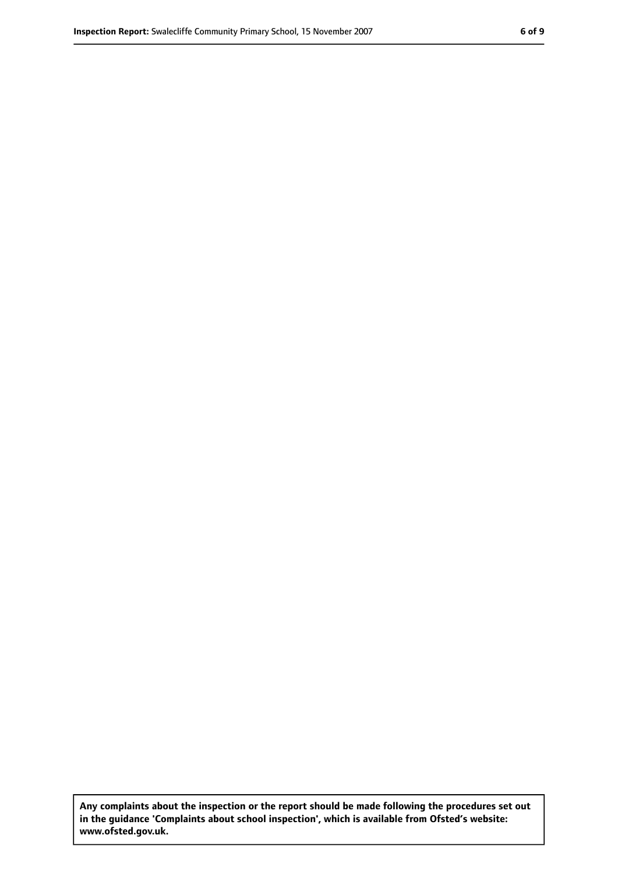**Any complaints about the inspection or the report should be made following the procedures set out in the guidance 'Complaints about school inspection', which is available from Ofsted's website: www.ofsted.gov.uk.**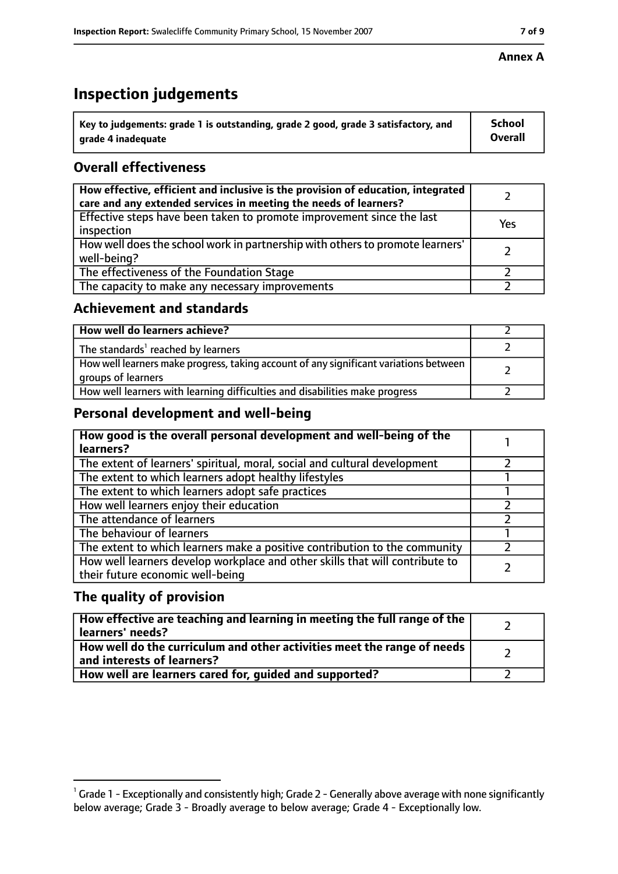# **Inspection judgements**

| $^{\backprime}$ Key to judgements: grade 1 is outstanding, grade 2 good, grade 3 satisfactory, and | <b>School</b>  |
|----------------------------------------------------------------------------------------------------|----------------|
| arade 4 inadeguate                                                                                 | <b>Overall</b> |

# **Overall effectiveness**

| How effective, efficient and inclusive is the provision of education, integrated<br>care and any extended services in meeting the needs of learners? |     |
|------------------------------------------------------------------------------------------------------------------------------------------------------|-----|
| Effective steps have been taken to promote improvement since the last<br>inspection                                                                  | Yes |
| How well does the school work in partnership with others to promote learners'<br>well-being?                                                         |     |
| The effectiveness of the Foundation Stage                                                                                                            |     |
| The capacity to make any necessary improvements                                                                                                      |     |

## **Achievement and standards**

| How well do learners achieve?                                                                               |  |
|-------------------------------------------------------------------------------------------------------------|--|
| The standards <sup>1</sup> reached by learners                                                              |  |
| How well learners make progress, taking account of any significant variations between<br>groups of learners |  |
| How well learners with learning difficulties and disabilities make progress                                 |  |

# **Personal development and well-being**

| How good is the overall personal development and well-being of the<br>learners?                                  |  |
|------------------------------------------------------------------------------------------------------------------|--|
| The extent of learners' spiritual, moral, social and cultural development                                        |  |
| The extent to which learners adopt healthy lifestyles                                                            |  |
| The extent to which learners adopt safe practices                                                                |  |
| How well learners enjoy their education                                                                          |  |
| The attendance of learners                                                                                       |  |
| The behaviour of learners                                                                                        |  |
| The extent to which learners make a positive contribution to the community                                       |  |
| How well learners develop workplace and other skills that will contribute to<br>their future economic well-being |  |

# **The quality of provision**

| How effective are teaching and learning in meeting the full range of the<br>learners' needs?          |  |
|-------------------------------------------------------------------------------------------------------|--|
| How well do the curriculum and other activities meet the range of needs<br>and interests of learners? |  |
| How well are learners cared for, guided and supported?                                                |  |

 $^1$  Grade 1 - Exceptionally and consistently high; Grade 2 - Generally above average with none significantly below average; Grade 3 - Broadly average to below average; Grade 4 - Exceptionally low.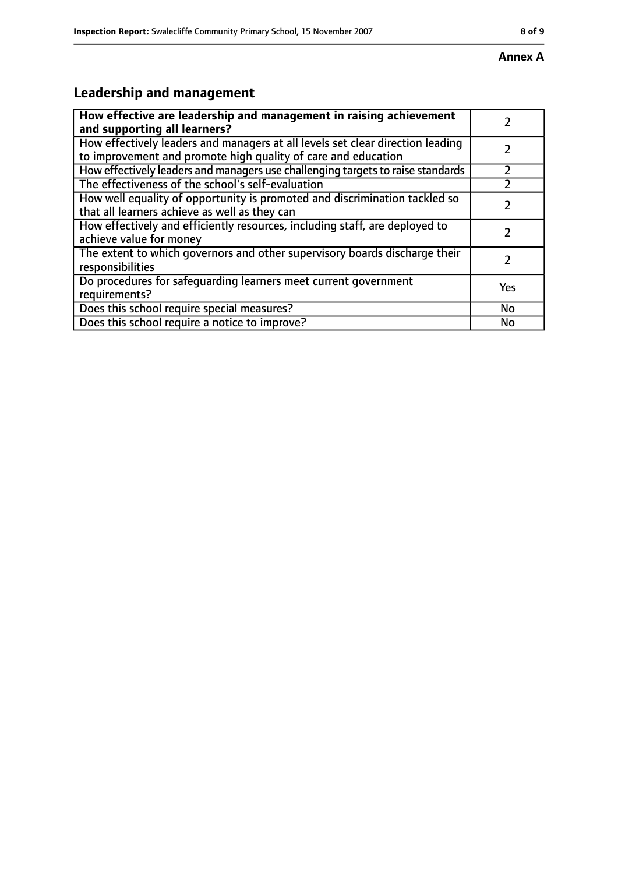#### **Annex A**

# **Leadership and management**

| How effective are leadership and management in raising achievement              |     |
|---------------------------------------------------------------------------------|-----|
| and supporting all learners?                                                    |     |
| How effectively leaders and managers at all levels set clear direction leading  |     |
| to improvement and promote high quality of care and education                   |     |
| How effectively leaders and managers use challenging targets to raise standards |     |
| The effectiveness of the school's self-evaluation                               |     |
| How well equality of opportunity is promoted and discrimination tackled so      |     |
| that all learners achieve as well as they can                                   |     |
| How effectively and efficiently resources, including staff, are deployed to     | 7   |
| achieve value for money                                                         |     |
| The extent to which governors and other supervisory boards discharge their      |     |
| responsibilities                                                                |     |
| Do procedures for safequarding learners meet current government                 | Yes |
| requirements?                                                                   |     |
| Does this school require special measures?                                      | No  |
| Does this school require a notice to improve?                                   | No  |